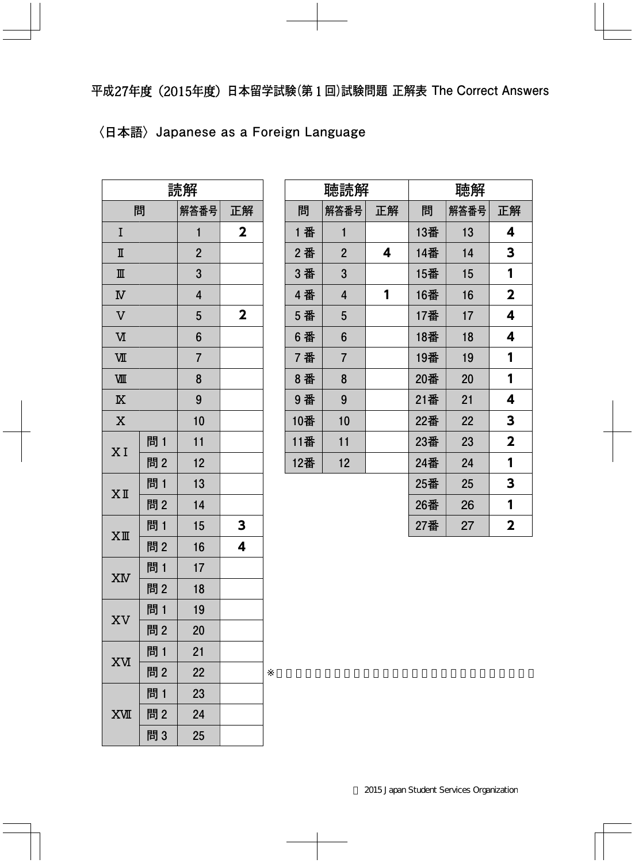## **〈日本語〉Japanese as a Foreign Language**

| 読解                        |     |                |             |
|---------------------------|-----|----------------|-------------|
| 問                         |     | 解答番号           | 正解          |
| I                         |     | 1              | $\mathbf 2$ |
| $\rm I\hspace{-0.3mm}I$   |     | $\overline{2}$ |             |
| $\mathbb{I}$              |     | 3              |             |
| $\boldsymbol{\mathrm{N}}$ |     | $\overline{4}$ |             |
| $\overline{\mathsf{V}}$   |     | 5              | 2           |
| $\overline{M}$            |     | 6              |             |
| VШ                        |     | $\overline{7}$ |             |
| VШ                        |     | 8              |             |
| $\overline{\mathbb{X}}$   |     | 9              |             |
| $\overline{\text{X}}$     |     | 10             |             |
| XI                        | 問 1 | 11             |             |
|                           | 問2  | 12             |             |
| $X$ II                    | 問 1 | 13             |             |
|                           | 問2  | 14             |             |
|                           | 問1  | 15             | 3           |
| $XI\!\!I\!\!I$            | 問2  | 16             | 4           |
| XM                        | 問 1 | 17             |             |
|                           | 問2  | 18             |             |
|                           | 問 1 | 19             |             |
| XV                        | 問2  | 20             |             |
| XИ                        | 問1  | 21             |             |
|                           | 問2  | 22             |             |
|                           | 問1  | 23             |             |
| <b>XVII</b>               | 問2  | 24             |             |
|                           | 問3  | 25             |             |

| 聴読解 |                |    | 聴解  |      |                         |
|-----|----------------|----|-----|------|-------------------------|
| 問   | 解答番号           | 正解 | 問   | 解答番号 | 正解                      |
| 1 番 | 1              |    | 13番 | 13   | 4                       |
| 2番  | $\overline{2}$ | 4  | 14番 | 14   | 3                       |
| 3番  | 3              |    | 15番 | 15   | 1                       |
| 4番  | $\overline{4}$ | 1  | 16番 | 16   | $\overline{\mathbf{2}}$ |
| 5 番 | 5              |    | 17番 | 17   | 4                       |
| 6番  | 6              |    | 18番 | 18   | 4                       |
| 7番  | $\overline{7}$ |    | 19番 | 19   | 1                       |
| 8番  | 8              |    | 20番 | 20   | 1                       |
| 9番  | 9              |    | 21番 | 21   | 4                       |
| 10番 | 10             |    | 22番 | 22   | 3                       |
| 11番 | 11             |    | 23番 | 23   | $\overline{\mathbf{2}}$ |
| 12番 | 12             |    | 24番 | 24   | 1                       |
|     |                |    | 25番 | 25   | 3                       |
|     |                |    | 26番 | 26   | 1                       |
|     |                |    | 27番 | 27   | $\overline{\mathbf{2}}$ |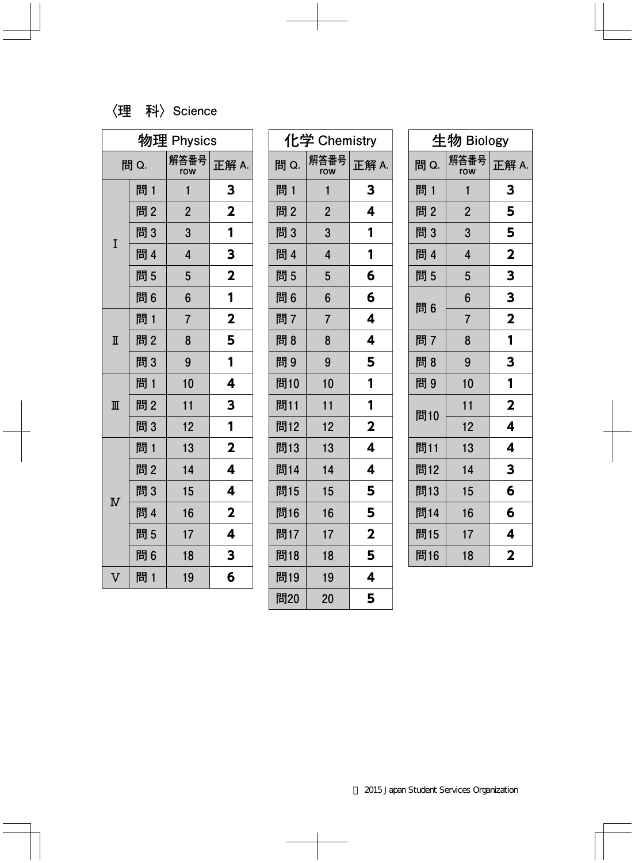## **〈理 科〉Science**

| 物理 Physics              |     |                         |                         |
|-------------------------|-----|-------------------------|-------------------------|
| 問 Q.                    |     | 解答番号<br>row             | 正解 A.                   |
|                         | 問1  | 1                       | 3                       |
|                         | 問2  | $\overline{2}$          | $\mathbf 2$             |
| I                       | 問3  | 3                       | 1                       |
|                         | 問 4 | $\overline{\mathbf{4}}$ | 3                       |
|                         | 問5  | 5                       | $\overline{\mathbf{2}}$ |
|                         | 問6  | 6                       | 1                       |
|                         | 問 1 | $\overline{7}$          | $\mathbf{2}$            |
| $\mathbb I$             | 問2  | 8                       | 5                       |
|                         | 問3  | 9                       | 1                       |
| $\mathbb{I}$            | 問1  | 10                      | 4                       |
|                         | 問2  | 11                      | 3                       |
|                         | 問3  | 12                      | 1                       |
| $\overline{\text{N}}$   | 問 1 | 13                      | $\overline{\mathbf{2}}$ |
|                         | 問2  | 14                      | 4                       |
|                         | 問3  | 15                      | 4                       |
|                         | 問 4 | 16                      | $\overline{\mathbf{2}}$ |
|                         | 問5  | 17                      | 4                       |
|                         | 問6  | 18                      | 3                       |
| $\overline{\mathsf{V}}$ | 問1  | 19                      | 6                       |

| 化学 Chemistry |                |                         |
|--------------|----------------|-------------------------|
| 問 Q.         | 解答番号<br>row    | 正解 A.                   |
| 問 1          | 1              | 3                       |
| 問2           | $\overline{c}$ | 4                       |
| 問3           | 3              | 1                       |
| 問 4          | 4              | 1                       |
| 問5           | 5              | 6                       |
| 問6           | 6              | 6                       |
| 問7           | 7              | 4                       |
| 問8           | 8              | 4                       |
| 問9           | 9              | 5                       |
| 問10          | 10             | 1                       |
| 問11          | 11             | 1                       |
| 問12          | 12             | $\overline{\mathbf{2}}$ |
| 問13          | 13             | 4                       |
| 問14          | 14             | 4                       |
| 問15          | 15             | 5                       |
| 問16          | 16             | 5                       |
| 問17          | 17             | $\overline{\mathbf{2}}$ |
| 問18          | 18             | 5                       |
| 問19          | 19             | 4                       |
| 問20          | 20             | 5                       |

| 生物 Biology |                         |                         |
|------------|-------------------------|-------------------------|
| 問 Q.       | 解答番号<br>row             | 正解 A.                   |
| 問 1        | 1                       | 3                       |
| 問2         | $\overline{2}$          | 5                       |
| 問3         | 3                       | 5                       |
| 問 4        | $\overline{\mathbf{4}}$ | $\overline{\mathbf{2}}$ |
| 問 5        | 5                       | 3                       |
| 問6         | 6                       | 3                       |
|            | $\overline{7}$          | $\overline{\mathbf{2}}$ |
| 問7         | 8                       | 1                       |
| 問8         | 9                       | 3                       |
| 問9         | 10                      | 1                       |
|            | 11                      | $\overline{\mathbf{2}}$ |
| 問10        | 12                      | 4                       |
| 問11        | 13                      | 4                       |
| 問12        | 14                      | 3                       |
| 問13        | 15                      | 6                       |
| 問14        | 16                      | 6                       |
| 問15        | 17                      | 4                       |
| 問16        | 18                      | $\overline{\mathbf{2}}$ |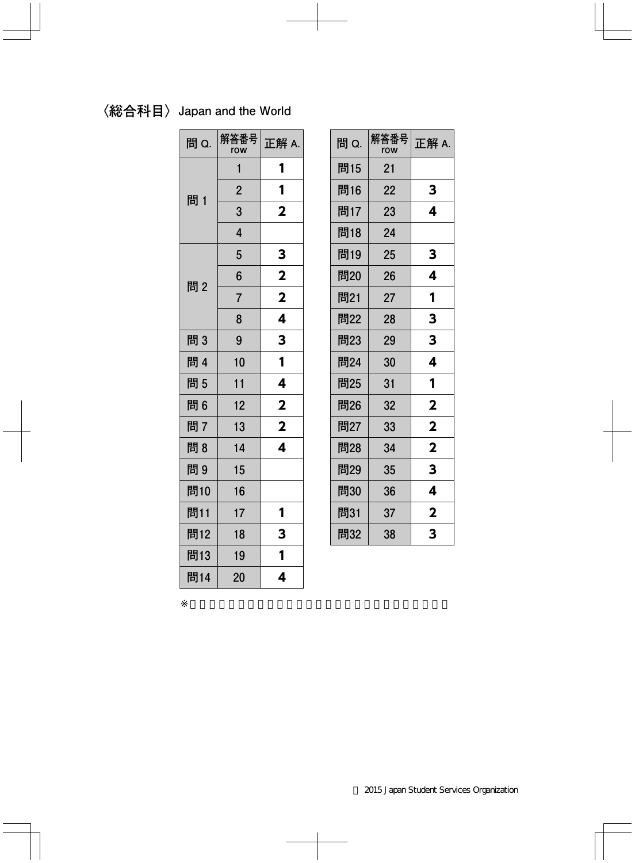## **〈総合科目〉Japan and the World**

| 問 Q. | 解答番号<br>row    | 正解 A.                   |
|------|----------------|-------------------------|
|      | 1              | 1                       |
| 問 1  | $\overline{2}$ | 1                       |
|      | 3              | $\overline{\mathbf{2}}$ |
|      | $\overline{4}$ |                         |
|      | 5              | 3                       |
| 問2   | 6              | $\overline{\mathbf{2}}$ |
|      | $\overline{7}$ | $\overline{\mathbf{2}}$ |
|      | 8              | 4                       |
| 問3   | 9              | 3                       |
| 問 4  | 10             | 1                       |
| 問5   | 11             | 4                       |
| 問6   | 12             | $\overline{\mathbf{2}}$ |
| 問7   | 13             | $\overline{\mathbf{2}}$ |
| 問8   | 14             | 4                       |
| 問9   | 15             |                         |
| 問10  | 16             |                         |
| 問11  | 17             | 1                       |
| 問12  | 18             | 3                       |
| 問13  | 19             | 1                       |
| 問14  | 20             | 4                       |

| 問 Q. | 解答番号<br>row | 正解 A.                   |
|------|-------------|-------------------------|
| 問15  | 21          |                         |
| 問16  | 22          | 3                       |
| 問17  | 23          | 4                       |
| 問18  | 24          |                         |
| 問19  | 25          | 3                       |
| 問20  | 26          | 4                       |
| 問21  | 27          | 1                       |
| 問22  | 28          | 3                       |
| 問23  | 29          | 3                       |
| 問24  | 30          | 4                       |
| 問25  | 31          | 1                       |
| 問26  | 32          | $\overline{\mathbf{2}}$ |
| 問27  | 33          | $\overline{\mathbf{2}}$ |
| 問28  | 34          | $\overline{\mathbf{2}}$ |
| 問29  | 35          | 3                       |
| 問30  | 36          | 4                       |
| 問31  | 37          | $\overline{\mathbf{2}}$ |
| 問32  | 38          | 3                       |